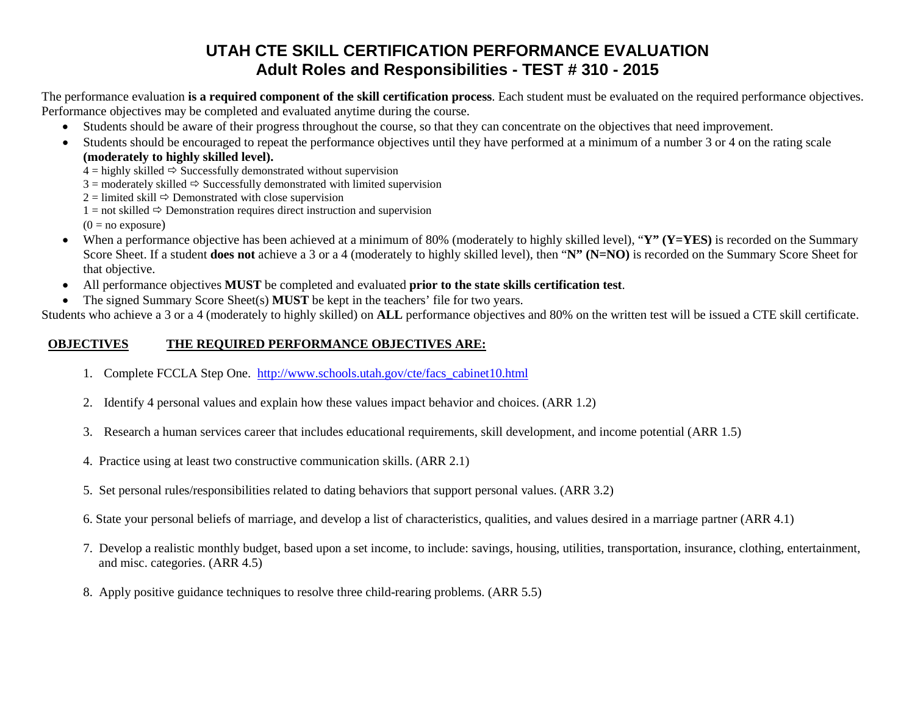## **UTAH CTE SKILL CERTIFICATION PERFORMANCE EVALUATION Adult Roles and Responsibilities - TEST # 310 - 2015**

The performance evaluation **is a required component of the skill certification process**. Each student must be evaluated on the required performance objectives. Performance objectives may be completed and evaluated anytime during the course.

- Students should be aware of their progress throughout the course, so that they can concentrate on the objectives that need improvement.
- Students should be encouraged to repeat the performance objectives until they have performed at a minimum of a number 3 or 4 on the rating scale **(moderately to highly skilled level).**

 $4 =$  highly skilled  $\Rightarrow$  Successfully demonstrated without supervision

 $3 =$  moderately skilled  $\Rightarrow$  Successfully demonstrated with limited supervision

 $2 =$  limited skill  $\Rightarrow$  Demonstrated with close supervision

 $1 =$  not skilled  $\Rightarrow$  Demonstration requires direct instruction and supervision

 $(0 = no$  exposure)

- When a performance objective has been achieved at a minimum of 80% (moderately to highly skilled level), "**Y" (Y=YES)** is recorded on the Summary Score Sheet. If a student **does not** achieve a 3 or a 4 (moderately to highly skilled level), then "**N" (N=NO)** is recorded on the Summary Score Sheet for that objective.
- All performance objectives **MUST** be completed and evaluated **prior to the state skills certification test**.
- The signed Summary Score Sheet(s) **MUST** be kept in the teachers' file for two years.

Students who achieve a 3 or a 4 (moderately to highly skilled) on **ALL** performance objectives and 80% on the written test will be issued a CTE skill certificate.

## **OBJECTIVES THE REQUIRED PERFORMANCE OBJECTIVES ARE:**

- 1. Complete FCCLA Step One. [http://www.schools.utah.gov/cte/facs\\_cabinet10.html](http://www.schools.utah.gov/cte/facs_cabinet10.html)
- 2. Identify 4 personal values and explain how these values impact behavior and choices. (ARR 1.2)
- 3. Research a human services career that includes educational requirements, skill development, and income potential (ARR 1.5)
- 4. Practice using at least two constructive communication skills. (ARR 2.1)
- 5. Set personal rules/responsibilities related to dating behaviors that support personal values. (ARR 3.2)
- 6. State your personal beliefs of marriage, and develop a list of characteristics, qualities, and values desired in a marriage partner (ARR 4.1)
- 7. Develop a realistic monthly budget, based upon a set income, to include: savings, housing, utilities, transportation, insurance, clothing, entertainment, and misc. categories. (ARR 4.5)
- 8. Apply positive guidance techniques to resolve three child-rearing problems. (ARR 5.5)